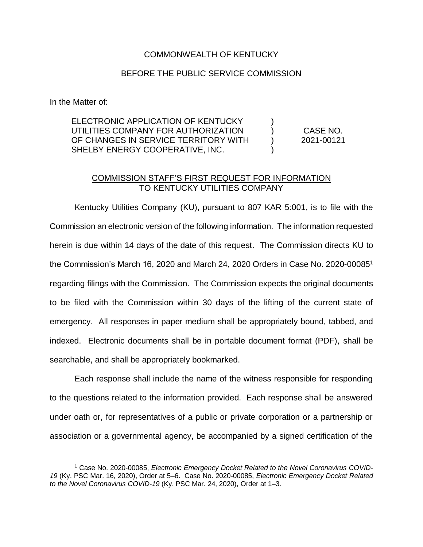## COMMONWEALTH OF KENTUCKY

## BEFORE THE PUBLIC SERVICE COMMISSION

In the Matter of:

 $\overline{a}$ 

| ELECTRONIC APPLICATION OF KENTUCKY   |            |
|--------------------------------------|------------|
| UTILITIES COMPANY FOR AUTHORIZATION  | CASE NO.   |
| OF CHANGES IN SERVICE TERRITORY WITH | 2021-00121 |
| SHELBY ENERGY COOPERATIVE, INC.      |            |

## COMMISSION STAFF'S FIRST REQUEST FOR INFORMATION TO KENTUCKY UTILITIES COMPANY

Kentucky Utilities Company (KU), pursuant to 807 KAR 5:001, is to file with the Commission an electronic version of the following information. The information requested herein is due within 14 days of the date of this request. The Commission directs KU to the Commission's March 16, 2020 and March 24, 2020 Orders in Case No. 2020-00085<sup>1</sup> regarding filings with the Commission. The Commission expects the original documents to be filed with the Commission within 30 days of the lifting of the current state of emergency. All responses in paper medium shall be appropriately bound, tabbed, and indexed. Electronic documents shall be in portable document format (PDF), shall be searchable, and shall be appropriately bookmarked.

Each response shall include the name of the witness responsible for responding to the questions related to the information provided. Each response shall be answered under oath or, for representatives of a public or private corporation or a partnership or association or a governmental agency, be accompanied by a signed certification of the

<sup>&</sup>lt;sup>1</sup> Case No. 2020-00085, Electronic Emergency Docket Related to the Novel Coronavirus COVID-*19* (Ky. PSC Mar. 16, 2020), Order at 5–6. Case No. 2020-00085, *Electronic Emergency Docket Related to the Novel Coronavirus COVID-19* (Ky. PSC Mar. 24, 2020), Order at 1–3.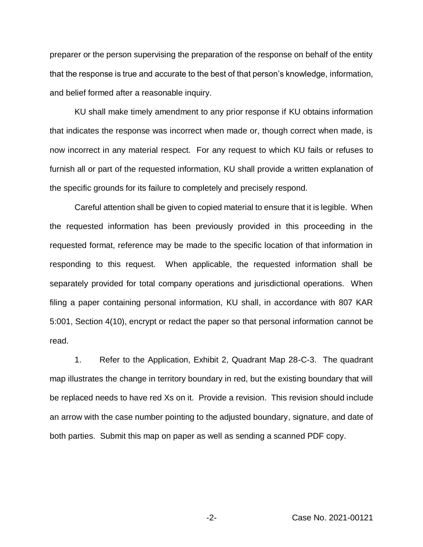preparer or the person supervising the preparation of the response on behalf of the entity that the response is true and accurate to the best of that person's knowledge, information, and belief formed after a reasonable inquiry.

KU shall make timely amendment to any prior response if KU obtains information that indicates the response was incorrect when made or, though correct when made, is now incorrect in any material respect. For any request to which KU fails or refuses to furnish all or part of the requested information, KU shall provide a written explanation of the specific grounds for its failure to completely and precisely respond.

Careful attention shall be given to copied material to ensure that it is legible. When the requested information has been previously provided in this proceeding in the requested format, reference may be made to the specific location of that information in responding to this request. When applicable, the requested information shall be separately provided for total company operations and jurisdictional operations. When filing a paper containing personal information, KU shall, in accordance with 807 KAR 5:001, Section 4(10), encrypt or redact the paper so that personal information cannot be read.

1. Refer to the Application, Exhibit 2, Quadrant Map 28-C-3. The quadrant map illustrates the change in territory boundary in red, but the existing boundary that will be replaced needs to have red Xs on it. Provide a revision. This revision should include an arrow with the case number pointing to the adjusted boundary, signature, and date of both parties. Submit this map on paper as well as sending a scanned PDF copy.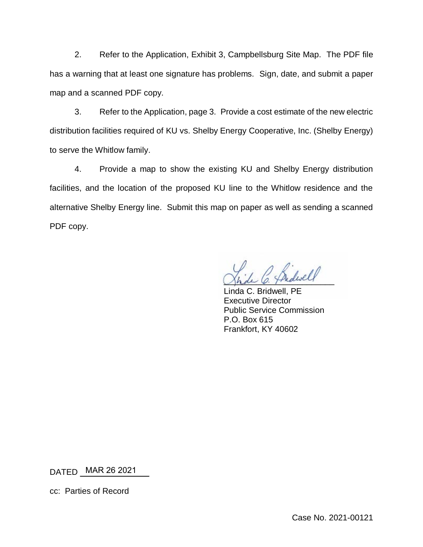2. Refer to the Application, Exhibit 3, Campbellsburg Site Map. The PDF file has a warning that at least one signature has problems. Sign, date, and submit a paper map and a scanned PDF copy.

3. Refer to the Application, page 3. Provide a cost estimate of the new electric distribution facilities required of KU vs. Shelby Energy Cooperative, Inc. (Shelby Energy) to serve the Whitlow family.

4. Provide a map to show the existing KU and Shelby Energy distribution facilities, and the location of the proposed KU line to the Whitlow residence and the alternative Shelby Energy line. Submit this map on paper as well as sending a scanned PDF copy.

Shale C. Thedway

Linda C. Bridwell, PE Executive Director Public Service Commission P.O. Box 615 Frankfort, KY 40602

DATED \_\_\_\_\_\_\_\_\_\_\_\_\_\_\_ MAR 26 2021

cc: Parties of Record